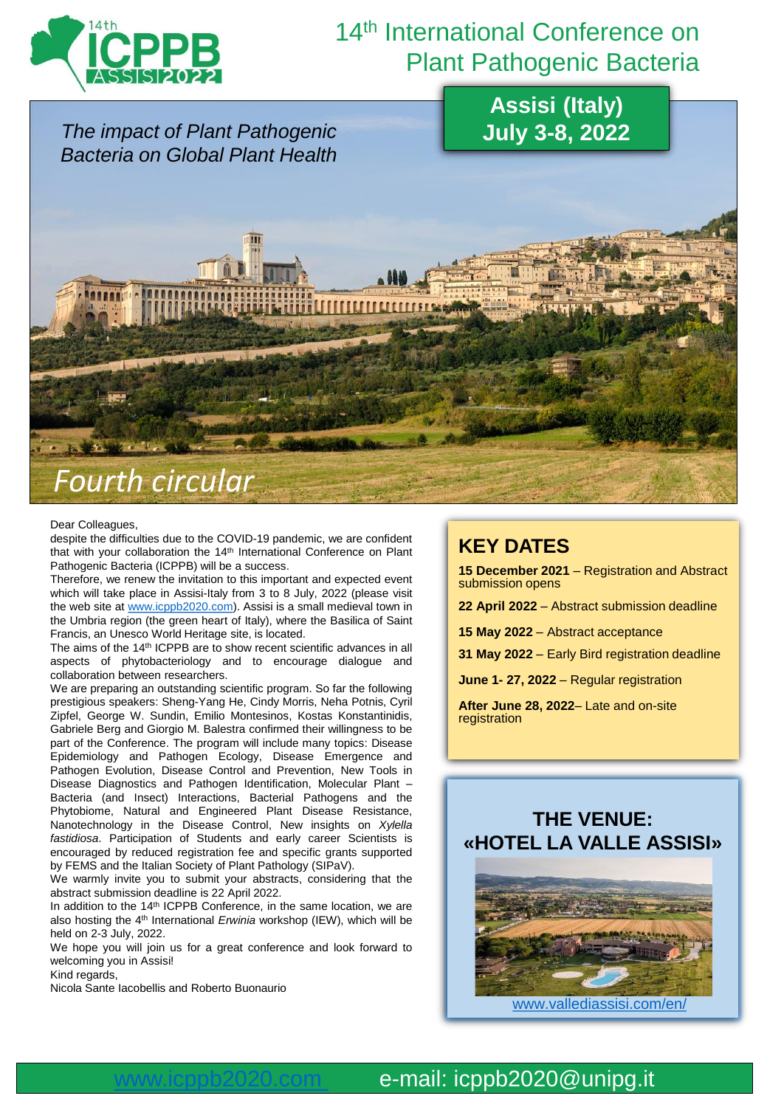

# 14<sup>th</sup> International Conference on Plant Pathogenic Bacteria

*The impact of Plant Pathogenic Bacteria on Global Plant Health* **Assisi (Italy) July 3-8, 2022** *Fourth circular* 

#### Dear Colleagues,

despite the difficulties due to the COVID-19 pandemic, we are confident that with your collaboration the 14<sup>th</sup> International Conference on Plant Pathogenic Bacteria (ICPPB) will be a success.

Therefore, we renew the invitation to this important and expected event which will take place in Assisi-Italy from 3 to 8 July, 2022 (please visit the web site at [www.icppb2020.com](http://www.icppb2020.com/)). Assisi is a small medieval town in the Umbria region (the green heart of Italy), where the Basilica of Saint Francis, an Unesco World Heritage site, is located.

The aims of the 14<sup>th</sup> ICPPB are to show recent scientific advances in all aspects of phytobacteriology and to encourage dialogue and collaboration between researchers.

We are preparing an outstanding scientific program. So far the following prestigious speakers: Sheng-Yang He, Cindy Morris, Neha Potnis, Cyril Zipfel, George W. Sundin, Emilio Montesinos, Kostas Konstantinidis, Gabriele Berg and Giorgio M. Balestra confirmed their willingness to be part of the Conference. The program will include many topics: Disease Epidemiology and Pathogen Ecology, Disease Emergence and Pathogen Evolution, Disease Control and Prevention, New Tools in Disease Diagnostics and Pathogen Identification, Molecular Plant – Bacteria (and Insect) Interactions, Bacterial Pathogens and the Phytobiome, Natural and Engineered Plant Disease Resistance, Nanotechnology in the Disease Control, New insights on *Xylella fastidiosa*. Participation of Students and early career Scientists is encouraged by reduced registration fee and specific grants supported by FEMS and the Italian Society of Plant Pathology (SIPaV).

We warmly invite you to submit your abstracts, considering that the abstract submission deadline is 22 April 2022.

In addition to the 14th ICPPB Conference, in the same location, we are also hosting the 4<sup>th</sup> International *Erwinia* workshop (IEW), which will be held on 2-3 July, 2022.

We hope you will join us for a great conference and look forward to welcoming you in Assisi!

Kind regards,

Nicola Sante Iacobellis and Roberto Buonaurio

## **KEY DATES**

**15 December 2021** – Registration and Abstract submission opens

**22 April 2022** – Abstract submission deadline

**15 May 2022** – Abstract acceptance

**31 May 2022** – Early Bird registration deadline

**June 1- 27, 2022** – Regular registration

**After June 28, 2022**– Late and on-site registration

#### **THE VENUE: «HOTEL LA VALLE ASSISI»**



[www.vallediassisi.com/en/](https://www.vallediassisi.com/en/)

### e-mail: icppb2020@unipg.it